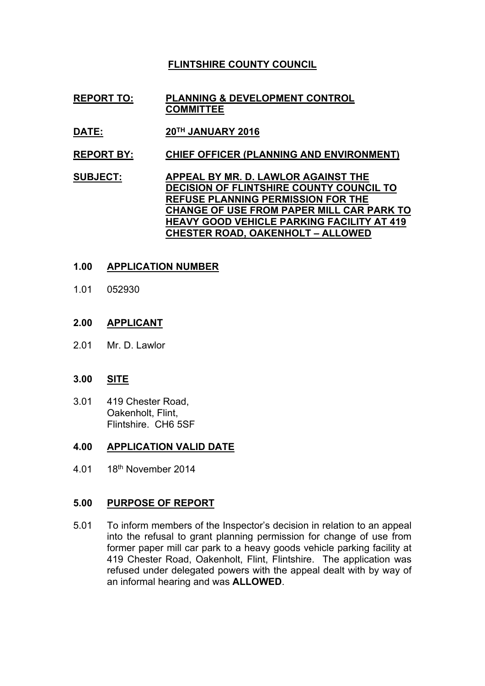# **FLINTSHIRE COUNTY COUNCIL**

- **REPORT TO: PLANNING & DEVELOPMENT CONTROL COMMITTEE**
- **DATE: 20TH JANUARY 2016**
- **REPORT BY: CHIEF OFFICER (PLANNING AND ENVIRONMENT)**
- **SUBJECT: APPEAL BY MR. D. LAWLOR AGAINST THE DECISION OF FLINTSHIRE COUNTY COUNCIL TO REFUSE PLANNING PERMISSION FOR THE CHANGE OF USE FROM PAPER MILL CAR PARK TO HEAVY GOOD VEHICLE PARKING FACILITY AT 419 CHESTER ROAD, OAKENHOLT – ALLOWED**

### **1.00 APPLICATION NUMBER**

1.01 052930

## **2.00 APPLICANT**

2.01 Mr. D. Lawlor

## **3.00 SITE**

3.01 419 Chester Road, Oakenholt, Flint, Flintshire. CH6 5SF

## **4.00 APPLICATION VALID DATE**

4.01 18th November 2014

### **5.00 PURPOSE OF REPORT**

5.01 To inform members of the Inspector's decision in relation to an appeal into the refusal to grant planning permission for change of use from former paper mill car park to a heavy goods vehicle parking facility at 419 Chester Road, Oakenholt, Flint, Flintshire. The application was refused under delegated powers with the appeal dealt with by way of an informal hearing and was **ALLOWED**.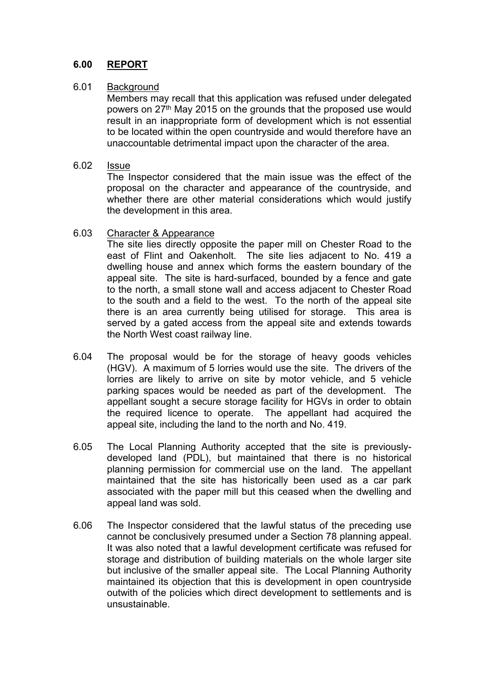## **6.00 REPORT**

### 6.01 **Background**

Members may recall that this application was refused under delegated powers on 27th May 2015 on the grounds that the proposed use would result in an inappropriate form of development which is not essential to be located within the open countryside and would therefore have an unaccountable detrimental impact upon the character of the area.

### 6.02 Issue

The Inspector considered that the main issue was the effect of the proposal on the character and appearance of the countryside, and whether there are other material considerations which would justify the development in this area.

### 6.03 Character & Appearance

The site lies directly opposite the paper mill on Chester Road to the east of Flint and Oakenholt. The site lies adjacent to No. 419 a dwelling house and annex which forms the eastern boundary of the appeal site. The site is hard-surfaced, bounded by a fence and gate to the north, a small stone wall and access adjacent to Chester Road to the south and a field to the west. To the north of the appeal site there is an area currently being utilised for storage. This area is served by a gated access from the appeal site and extends towards the North West coast railway line.

- 6.04 The proposal would be for the storage of heavy goods vehicles (HGV). A maximum of 5 lorries would use the site. The drivers of the lorries are likely to arrive on site by motor vehicle, and 5 vehicle parking spaces would be needed as part of the development. The appellant sought a secure storage facility for HGVs in order to obtain the required licence to operate. The appellant had acquired the appeal site, including the land to the north and No. 419.
- 6.05 The Local Planning Authority accepted that the site is previouslydeveloped land (PDL), but maintained that there is no historical planning permission for commercial use on the land. The appellant maintained that the site has historically been used as a car park associated with the paper mill but this ceased when the dwelling and appeal land was sold.
- 6.06 The Inspector considered that the lawful status of the preceding use cannot be conclusively presumed under a Section 78 planning appeal. It was also noted that a lawful development certificate was refused for storage and distribution of building materials on the whole larger site but inclusive of the smaller appeal site. The Local Planning Authority maintained its objection that this is development in open countryside outwith of the policies which direct development to settlements and is unsustainable.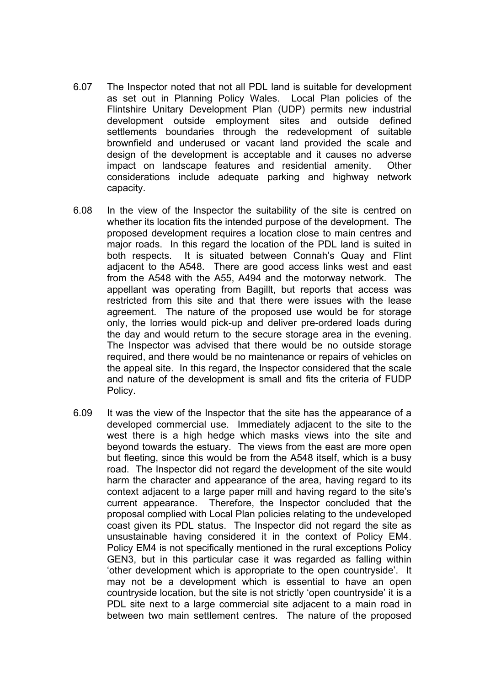- 6.07 The Inspector noted that not all PDL land is suitable for development as set out in Planning Policy Wales. Local Plan policies of the Flintshire Unitary Development Plan (UDP) permits new industrial development outside employment sites and outside defined settlements boundaries through the redevelopment of suitable brownfield and underused or vacant land provided the scale and design of the development is acceptable and it causes no adverse impact on landscape features and residential amenity. Other considerations include adequate parking and highway network capacity.
- 6.08 In the view of the Inspector the suitability of the site is centred on whether its location fits the intended purpose of the development. The proposed development requires a location close to main centres and major roads. In this regard the location of the PDL land is suited in both respects. It is situated between Connah's Quay and Flint adjacent to the A548. There are good access links west and east from the A548 with the A55, A494 and the motorway network. The appellant was operating from Bagillt, but reports that access was restricted from this site and that there were issues with the lease agreement. The nature of the proposed use would be for storage only, the lorries would pick-up and deliver pre-ordered loads during the day and would return to the secure storage area in the evening. The Inspector was advised that there would be no outside storage required, and there would be no maintenance or repairs of vehicles on the appeal site. In this regard, the Inspector considered that the scale and nature of the development is small and fits the criteria of FUDP Policy.
- 6.09 It was the view of the Inspector that the site has the appearance of a developed commercial use. Immediately adjacent to the site to the west there is a high hedge which masks views into the site and beyond towards the estuary. The views from the east are more open but fleeting, since this would be from the A548 itself, which is a busy road. The Inspector did not regard the development of the site would harm the character and appearance of the area, having regard to its context adjacent to a large paper mill and having regard to the site's current appearance. Therefore, the Inspector concluded that the proposal complied with Local Plan policies relating to the undeveloped coast given its PDL status. The Inspector did not regard the site as unsustainable having considered it in the context of Policy EM4. Policy EM4 is not specifically mentioned in the rural exceptions Policy GEN3, but in this particular case it was regarded as falling within 'other development which is appropriate to the open countryside'. It may not be a development which is essential to have an open countryside location, but the site is not strictly 'open countryside' it is a PDL site next to a large commercial site adjacent to a main road in between two main settlement centres. The nature of the proposed